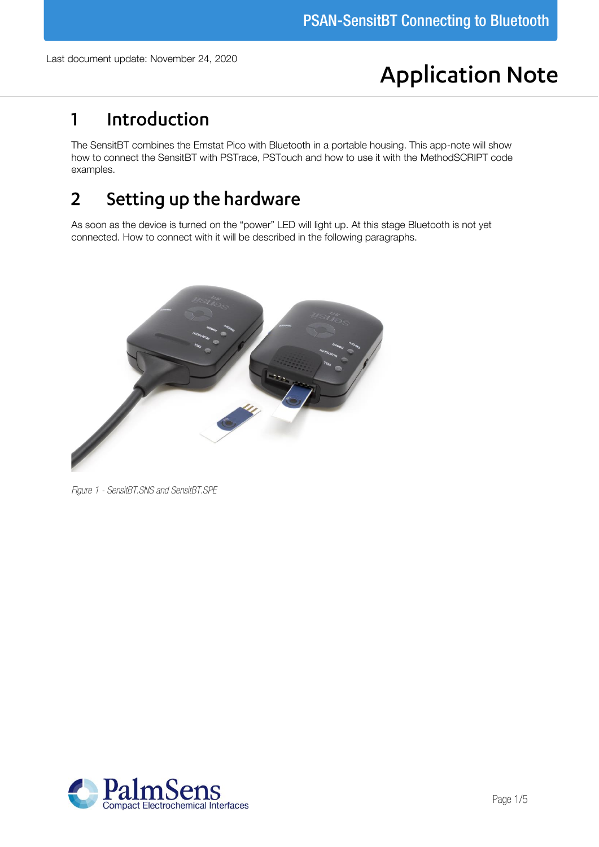# **Application Note**

## Introduction  $\mathbf{1}$

The SensitBT combines the Emstat Pico with Bluetooth in a portable housing. This app-note will show how to connect the SensitBT with PSTrace, PSTouch and how to use it with the MethodSCRIPT code examples.

#### Setting up the hardware  $\overline{2}$

As soon as the device is turned on the "power" LED will light up. At this stage Bluetooth is not yet connected. How to connect with it will be described in the following paragraphs.



*Figure 1 - SensitBT.SNS and SensitBT.SPE*

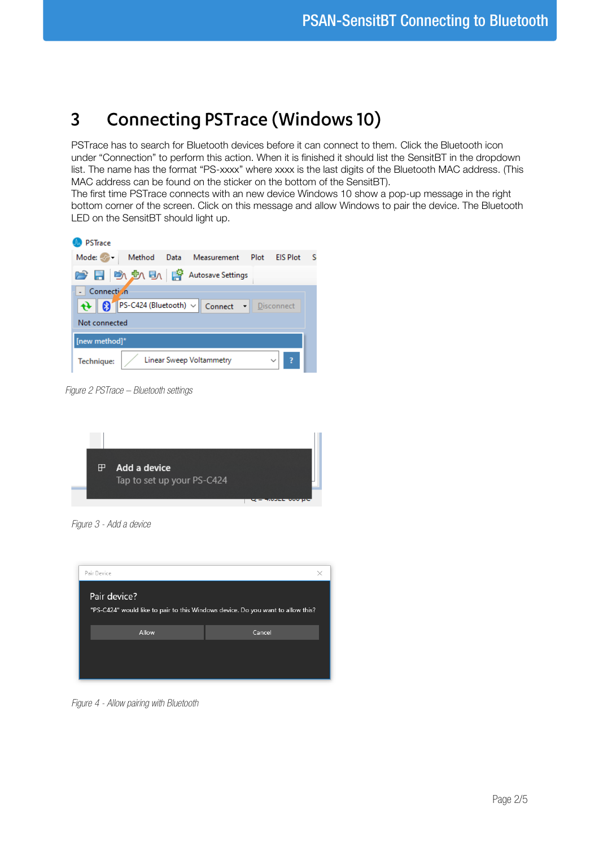#### **Connecting PSTrace (Windows 10)**  $\overline{3}$

PSTrace has to search for Bluetooth devices before it can connect to them. Click the Bluetooth icon under "Connection" to perform this action. When it is finished it should list the SensitBT in the dropdown list. The name has the format "PS-xxxx" where xxxx is the last digits of the Bluetooth MAC address. (This MAC address can be found on the sticker on the bottom of the SensitBT).

The first time PSTrace connects with an new device Windows 10 show a pop-up message in the right bottom corner of the screen. Click on this message and allow Windows to pair the device. The Bluetooth LED on the SensitBT should light up.

| <b>PSTrace</b>                                                                            |  |  |  |
|-------------------------------------------------------------------------------------------|--|--|--|
| Mode: <sup>2</sup> Method Data Measurement<br><b>FIS Plot</b><br>Plot<br>- S              |  |  |  |
| ■ ■ ● ■ ■ ■ ■ ■ ■ Autosave Settings                                                       |  |  |  |
| - Connection                                                                              |  |  |  |
| $\bigoplus$   $\bigotimes$   PS-C424 (Bluetooth) $\vee$   Connect $\bigotimes$ Disconnect |  |  |  |
| Not connected                                                                             |  |  |  |
| [new method]*                                                                             |  |  |  |
| Linear Sweep Voltammetry<br>Technique:                                                    |  |  |  |

*Figure 2 PSTrace – Bluetooth settings*



*Figure 3 - Add a device*



*Figure 4 - Allow pairing with Bluetooth*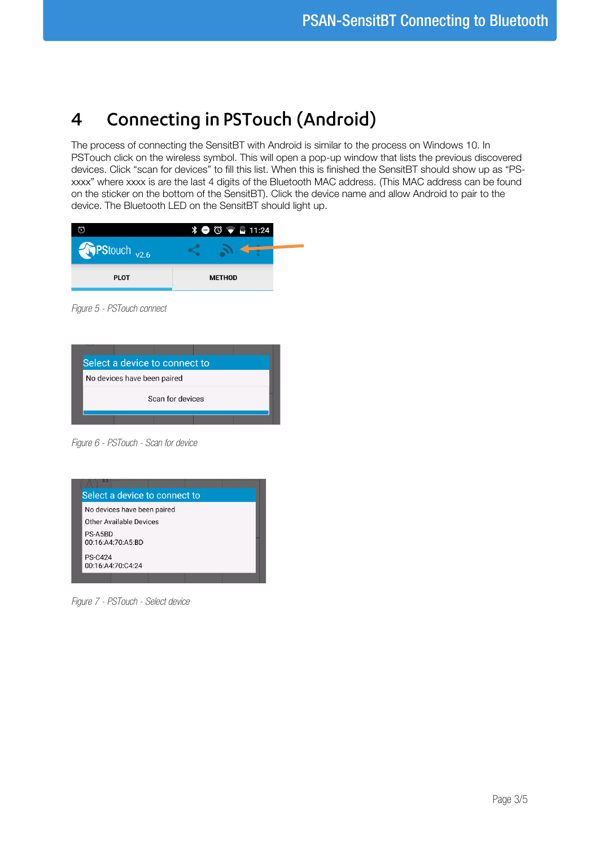## **Connecting in PSTouch (Android)**  $\overline{\mathbf{4}}$

The process of connecting the SensitBT with Android is similar to the process on Windows 10. In PSTouch click on the wireless symbol. This will open a pop-up window that lists the previous discovered devices. Click "scan for devices" to fill this list. When this is finished the SensitBT should show up as "PSxxxx" where xxxx is are the last 4 digits of the Bluetooth MAC address. (This MAC address can be found on the sticker on the bottom of the SensitBT). Click the device name and allow Android to pair to the device. The Bluetooth LED on the SensitBT should light up.

|                         | $\frac{1}{2}$ $\bigcirc$ $\bigcirc$ $\bigcirc$ $\bigcirc$ 11:24 |
|-------------------------|-----------------------------------------------------------------|
| PStouch <sub>v2.6</sub> |                                                                 |
| <b>PLOT</b>             | <b>METHOD</b>                                                   |

*Figure 5 - PSTouch connect*



*Figure 6 - PSTouch - Scan for device*



*Figure 7 - PSTouch - Select device*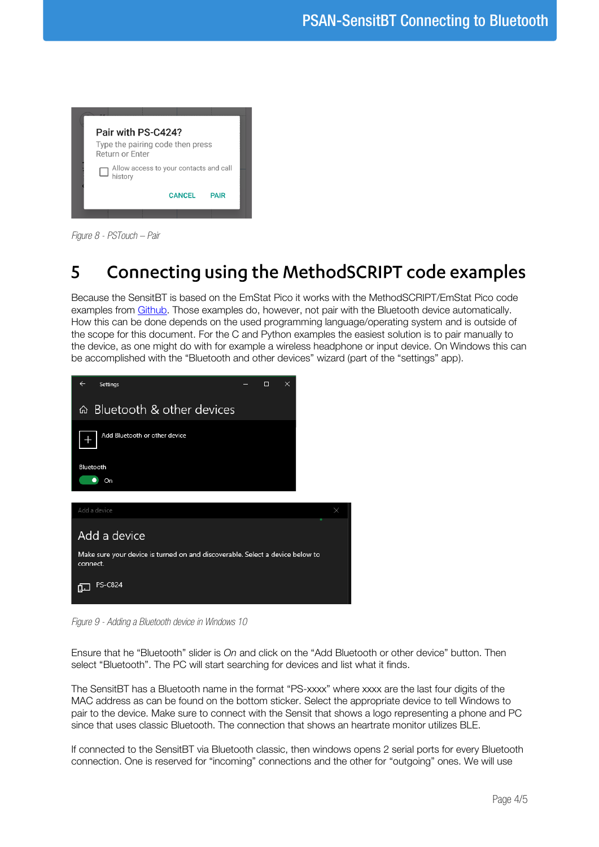

*Figure 8 - PSTouch – Pair*

#### Connecting using the MethodSCRIPT code examples  $\overline{\phantom{a}}$

Because the SensitBT is based on the EmStat Pico it works with the MethodSCRIPT/EmStat Pico code examples from [Github.](https://github.com/PalmSens/emstatpico) Those examples do, however, not pair with the Bluetooth device automatically. How this can be done depends on the used programming language/operating system and is outside of the scope for this document. For the C and Python examples the easiest solution is to pair manually to the device, as one might do with for example a wireless headphone or input device. On Windows this can be accomplished with the "Bluetooth and other devices" wizard (part of the "settings" app).



*Figure 9 - Adding a Bluetooth device in Windows 10*

Ensure that he "Bluetooth" slider is On and click on the "Add Bluetooth or other device" button. Then select "Bluetooth". The PC will start searching for devices and list what it finds.

The SensitBT has a Bluetooth name in the format "PS-xxxx" where xxxx are the last four digits of the MAC address as can be found on the bottom sticker. Select the appropriate device to tell Windows to pair to the device. Make sure to connect with the Sensit that shows a logo representing a phone and PC since that uses classic Bluetooth. The connection that shows an heartrate monitor utilizes BLE.

If connected to the SensitBT via Bluetooth classic, then windows opens 2 serial ports for every Bluetooth connection. One is reserved for "incoming" connections and the other for "outgoing" ones. We will use